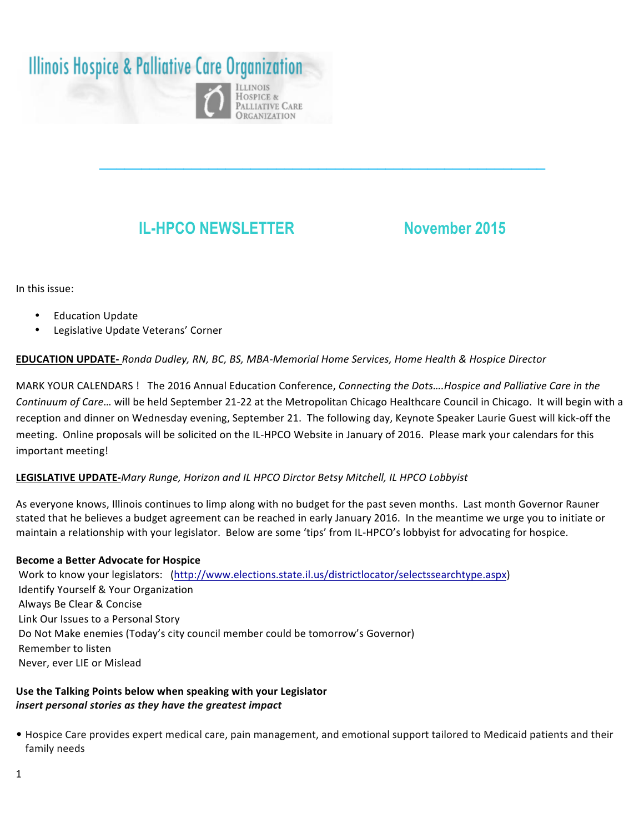# **Illinois Hospice & Palliative Care Organization**



## **IL-HPCO NEWSLETTER November 2015**

In this issue:

- **Education Update**
- Legislative Update Veterans' Corner

### **EDUCATION UPDATE-** *Ronda Dudley, RN, BC, BS, MBA-Memorial Home Services, Home Health & Hospice Director*

MARK YOUR CALENDARS! The 2016 Annual Education Conference, *Connecting the Dots....Hospice and Palliative Care in the Continuum of Care...* will be held September 21-22 at the Metropolitan Chicago Healthcare Council in Chicago. It will begin with a reception and dinner on Wednesday evening, September 21. The following day, Keynote Speaker Laurie Guest will kick-off the meeting. Online proposals will be solicited on the IL-HPCO Website in January of 2016. Please mark your calendars for this important meeting!

**\_\_\_\_\_\_\_\_\_\_\_\_\_\_\_\_\_\_\_\_\_\_\_\_\_\_\_\_\_\_\_\_\_\_\_\_\_\_\_\_\_\_\_\_\_\_\_\_\_\_\_\_\_**

#### LEGISLATIVE UPDATE-*Mary Runge, Horizon and IL HPCO Dirctor Betsy Mitchell, IL HPCO Lobbyist*

As everyone knows, Illinois continues to limp along with no budget for the past seven months. Last month Governor Rauner stated that he believes a budget agreement can be reached in early January 2016. In the meantime we urge you to initiate or maintain a relationship with your legislator. Below are some 'tips' from IL-HPCO's lobbyist for advocating for hospice.

#### **Become a Better Advocate for Hospice**

Work to know your legislators: (http://www.elections.state.il.us/districtlocator/selectssearchtype.aspx) Identify Yourself & Your Organization • Always Be Clear & Concise Link Our Issues to a Personal Story Do Not Make enemies (Today's city council member could be tomorrow's Governor) Remember to listen Never, ever LIE or Mislead

#### Use the Talking Points below when speaking with your Legislator *insert personal stories as they have the greatest impact*

• Hospice Care provides expert medical care, pain management, and emotional support tailored to Medicaid patients and their family needs